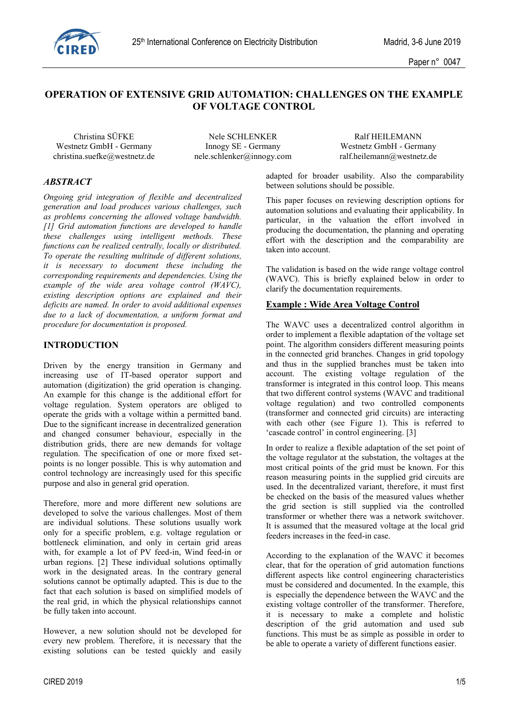

# **OPERATION OF EXTENSIVE GRID AUTOMATION: CHALLENGES ON THE EXAMPLE OF VOLTAGE CONTROL**

Westnetz GmbH - Germany Innogy SE - Germany Westnetz GmbH - Germany christina.suefke@westnetz.de nele.schlenker@innogy.com ralf.heilemann@westnetz.de

Christina SÜFKE Nele SCHLENKER Ralf HEILEMANN

# *ABSTRACT*

*Ongoing grid integration of flexible and decentralized generation and load produces various challenges, such as problems concerning the allowed voltage bandwidth. [1] Grid automation functions are developed to handle these challenges using intelligent methods. These functions can be realized centrally, locally or distributed. To operate the resulting multitude of different solutions, it is necessary to document these including the corresponding requirements and dependencies. Using the example of the wide area voltage control (WAVC), existing description options are explained and their deficits are named. In order to avoid additional expenses due to a lack of documentation, a uniform format and procedure for documentation is proposed.*

#### **INTRODUCTION**

Driven by the energy transition in Germany and increasing use of IT-based operator support and automation (digitization) the grid operation is changing. An example for this change is the additional effort for voltage regulation. System operators are obliged to operate the grids with a voltage within a permitted band. Due to the significant increase in decentralized generation and changed consumer behaviour, especially in the distribution grids, there are new demands for voltage regulation. The specification of one or more fixed setpoints is no longer possible. This is why automation and control technology are increasingly used for this specific purpose and also in general grid operation.

Therefore, more and more different new solutions are developed to solve the various challenges. Most of them are individual solutions. These solutions usually work only for a specific problem, e.g. voltage regulation or bottleneck elimination, and only in certain grid areas with, for example a lot of PV feed-in, Wind feed-in or urban regions. [2] These individual solutions optimally work in the designated areas. In the contrary general solutions cannot be optimally adapted. This is due to the fact that each solution is based on simplified models of the real grid, in which the physical relationships cannot be fully taken into account.

However, a new solution should not be developed for every new problem. Therefore, it is necessary that the existing solutions can be tested quickly and easily adapted for broader usability. Also the comparability between solutions should be possible.

This paper focuses on reviewing description options for automation solutions and evaluating their applicability. In particular, in the valuation the effort involved in producing the documentation, the planning and operating effort with the description and the comparability are taken into account.

The validation is based on the wide range voltage control (WAVC). This is briefly explained below in order to clarify the documentation requirements.

#### **Example : Wide Area Voltage Control**

The WAVC uses a decentralized control algorithm in order to implement a flexible adaptation of the voltage set point. The algorithm considers different measuring points in the connected grid branches. Changes in grid topology and thus in the supplied branches must be taken into account. The existing voltage regulation of the transformer is integrated in this control loop. This means that two different control systems (WAVC and traditional voltage regulation) and two controlled components (transformer and connected grid circuits) are interacting with each other (see [Figure 1\)](#page-1-0). This is referred to 'cascade control' in control engineering. [3]

In order to realize a flexible adaptation of the set point of the voltage regulator at the substation, the voltages at the most critical points of the grid must be known. For this reason measuring points in the supplied grid circuits are used. In the decentralized variant, therefore, it must first be checked on the basis of the measured values whether the grid section is still supplied via the controlled transformer or whether there was a network switchover. It is assumed that the measured voltage at the local grid feeders increases in the feed-in case.

According to the explanation of the WAVC it becomes clear, that for the operation of grid automation functions different aspects like control engineering characteristics must be considered and documented. In the example, this is especially the dependence between the WAVC and the existing voltage controller of the transformer. Therefore, it is necessary to make a complete and holistic description of the grid automation and used sub functions. This must be as simple as possible in order to be able to operate a variety of different functions easier.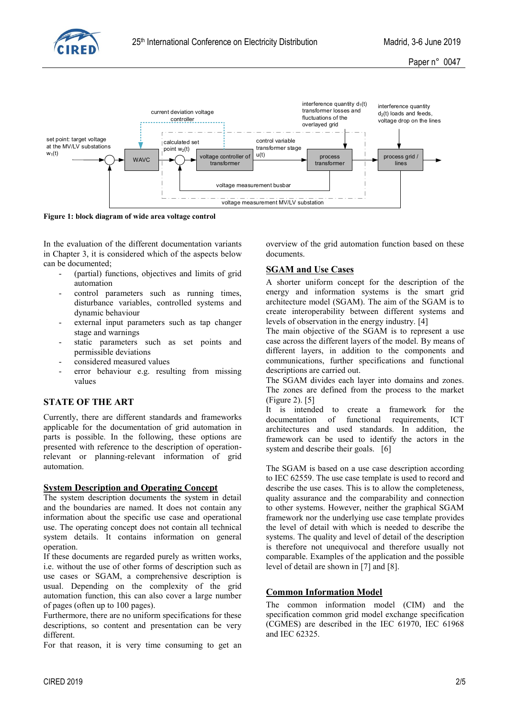



<span id="page-1-0"></span>**Figure 1: block diagram of wide area voltage control**

In the evaluation of the different documentation variants in Chapter 3, it is considered which of the aspects below can be documented;

- (partial) functions, objectives and limits of grid automation
- control parameters such as running times, disturbance variables, controlled systems and dynamic behaviour
- external input parameters such as tap changer stage and warnings
- static parameters such as set points and permissible deviations
- considered measured values
- error behaviour e.g. resulting from missing values

# **STATE OF THE ART**

Currently, there are different standards and frameworks applicable for the documentation of grid automation in parts is possible. In the following, these options are presented with reference to the description of operationrelevant or planning-relevant information of grid automation.

#### **System Description and Operating Concept**

The system description documents the system in detail and the boundaries are named. It does not contain any information about the specific use case and operational use. The operating concept does not contain all technical system details. It contains information on general operation.

If these documents are regarded purely as written works, i.e. without the use of other forms of description such as use cases or SGAM, a comprehensive description is usual. Depending on the complexity of the grid automation function, this can also cover a large number of pages (often up to 100 pages).

Furthermore, there are no uniform specifications for these descriptions, so content and presentation can be very different.

For that reason, it is very time consuming to get an

overview of the grid automation function based on these documents.

#### **SGAM and Use Cases**

A shorter uniform concept for the description of the energy and information systems is the smart grid architecture model (SGAM). The aim of the SGAM is to create interoperability between different systems and levels of observation in the energy industry. [4]

The main objective of the SGAM is to represent a use case across the different layers of the model. By means of different layers, in addition to the components and communications, further specifications and functional descriptions are carried out.

The SGAM divides each layer into domains and zones. The zones are defined from the process to the market [\(Figure 2\)](#page-2-0). [5]

It is intended to create a framework for the documentation of functional requirements ICT architectures and used standards. In addition, the framework can be used to identify the actors in the system and describe their goals. [6]

The SGAM is based on a use case description according to IEC 62559. The use case template is used to record and describe the use cases. This is to allow the completeness, quality assurance and the comparability and connection to other systems. However, neither the graphical SGAM framework nor the underlying use case template provides the level of detail with which is needed to describe the systems. The quality and level of detail of the description is therefore not unequivocal and therefore usually not comparable. Examples of the application and the possible level of detail are shown in [7] and [8].

## **Common Information Model**

The common information model (CIM) and the specification common grid model exchange specification (CGMES) are described in the IEC 61970, IEC 61968 and IEC 62325.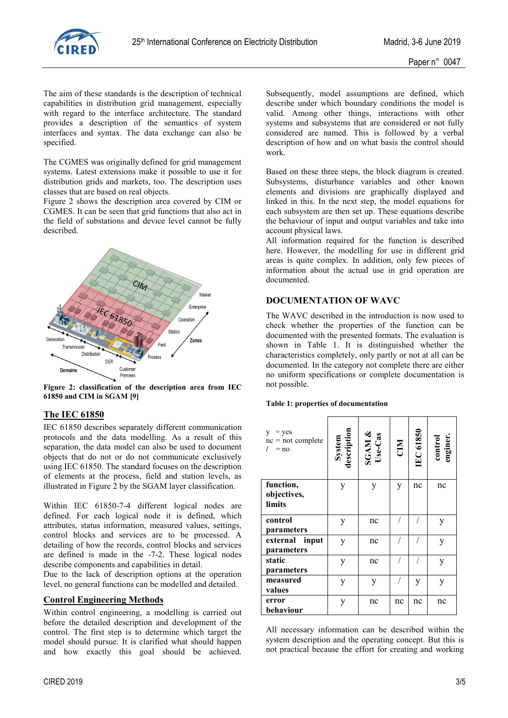

The aim of these standards is the description of technical capabilities in distribution grid management, especially with regard to the interface architecture. The standard provides a description of the semantics of system interfaces and syntax. The data exchange can also be specified.

The CGMES was originally defined for grid management systems. Latest extensions make it possible to use it for distribution grids and markets, too. The description uses classes that are based on real objects.

[Figure 2](#page-2-0) shows the description area covered by CIM or CGMES. It can be seen that grid functions that also act in the field of substations and device level cannot be fully described.



<span id="page-2-0"></span>**Figure 2: classification of the description area from IEC 61850 and CIM in SGAM [9]**

## **The IEC 61850**

IEC 61850 describes separately different communication protocols and the data modelling. As a result of this separation, the data model can also be used to document objects that do not or do not communicate exclusively using IEC 61850. The standard focuses on the description of elements at the process, field and station levels, as illustrated in [Figure 2](#page-2-0) by the SGAM layer classification.

Within IEC 61850-7-4 different logical nodes are defined. For each logical node it is defined, which attributes, status information, measured values, settings, control blocks and services are to be processed. A detailing of how the records, control blocks and services are defined is made in the -7-2. These logical nodes describe components and capabilities in detail.

Due to the lack of description options at the operation level, no general functions can be modelled and detailed.

## **Control Engineering Methods**

Within control engineering, a modelling is carried out before the detailed description and development of the control. The first step is to determine which target the model should pursue. It is clarified what should happen and how exactly this goal should be achieved.

Subsequently, model assumptions are defined, which describe under which boundary conditions the model is valid. Among other things, interactions with other systems and subsystems that are considered or not fully considered are named. This is followed by a verbal description of how and on what basis the control should work.

Based on these three steps, the block diagram is created. Subsystems, disturbance variables and other known elements and divisions are graphically displayed and linked in this. In the next step, the model equations for each subsystem are then set up. These equations describe the behaviour of input and output variables and take into account physical laws.

All information required for the function is described here. However, the modelling for use in different grid areas is quite complex. In addition, only few pieces of information about the actual use in grid operation are documented.

# **DOCUMENTATION OF WAVC**

The WAVC described in the introduction is now used to check whether the properties of the function can be documented with the presented formats. The evaluation is shown in [Table 1.](#page-2-1) It is distinguished whether the characteristics completely, only partly or not at all can be documented. In the category not complete there are either no uniform specifications or complete documentation is not possible.

#### <span id="page-2-1"></span>**Table 1: properties of documentation**

| $=$ yes<br>y.<br>$nc = not complete$<br>$= no$ | System<br>description | SGAM &<br>Use-Cas | CIM | <b>IEC 61850</b> | control<br>enginer. |
|------------------------------------------------|-----------------------|-------------------|-----|------------------|---------------------|
| function,<br>objectives,<br>limits             | y                     | y                 | y   | nc               | nc                  |
| control<br>parameters                          | y                     | nc                |     |                  | y                   |
| external input<br>parameters                   | y                     | nc                |     |                  | y                   |
| static<br>parameters                           | у                     | nc                |     |                  | y                   |
| measured<br>values                             | y                     | y                 |     | y                | y                   |
| error<br>behaviour                             | y                     | nc                | nc  | nc               | nc                  |

All necessary information can be described within the system description and the operating concept. But this is not practical because the effort for creating and working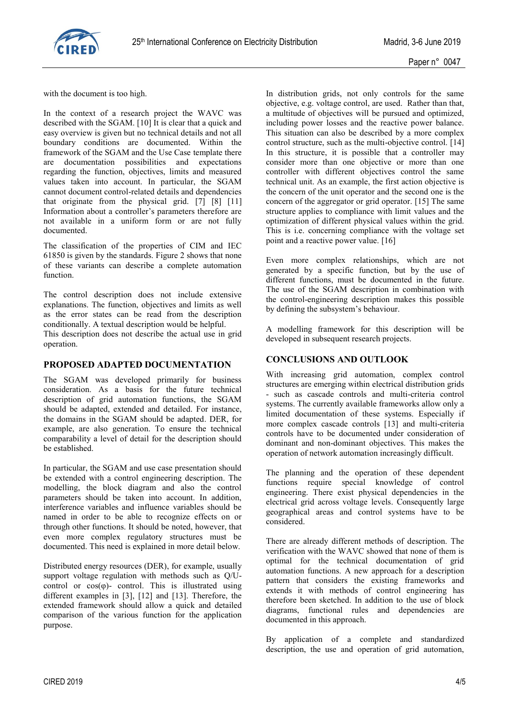

with the document is too high.

In the context of a research project the WAVC was described with the SGAM. [10] It is clear that a quick and easy overview is given but no technical details and not all boundary conditions are documented. Within the framework of the SGAM and the Use Case template there are documentation possibilities and expectations regarding the function, objectives, limits and measured values taken into account. In particular, the SGAM cannot document control-related details and dependencies that originate from the physical grid. [7] [8] [11] Information about a controller's parameters therefore are not available in a uniform form or are not fully documented.

The classification of the properties of CIM and IEC 61850 is given by the standards. [Figure 2](#page-2-0) shows that none of these variants can describe a complete automation function.

The control description does not include extensive explanations. The function, objectives and limits as well as the error states can be read from the description conditionally. A textual description would be helpful.

This description does not describe the actual use in grid operation.

#### **PROPOSED ADAPTED DOCUMENTATION**

The SGAM was developed primarily for business consideration. As a basis for the future technical description of grid automation functions, the SGAM should be adapted, extended and detailed. For instance, the domains in the SGAM should be adapted. DER, for example, are also generation. To ensure the technical comparability a level of detail for the description should be established.

In particular, the SGAM and use case presentation should be extended with a control engineering description. The modelling, the block diagram and also the control parameters should be taken into account. In addition, interference variables and influence variables should be named in order to be able to recognize effects on or through other functions. It should be noted, however, that even more complex regulatory structures must be documented. This need is explained in more detail below.

Distributed energy resources (DER), for example, usually support voltage regulation with methods such as O/Ucontrol or  $cos(\varphi)$ - control. This is illustrated using different examples in [3], [12] and [13]. Therefore, the extended framework should allow a quick and detailed comparison of the various function for the application purpose.

In distribution grids, not only controls for the same objective, e.g. voltage control, are used. Rather than that, a multitude of objectives will be pursued and optimized, including power losses and the reactive power balance. This situation can also be described by a more complex control structure, such as the multi-objective control. [14] In this structure, it is possible that a controller may consider more than one objective or more than one controller with different objectives control the same technical unit. As an example, the first action objective is the concern of the unit operator and the second one is the concern of the aggregator or grid operator. [15] The same structure applies to compliance with limit values and the optimization of different physical values within the grid. This is i.e. concerning compliance with the voltage set point and a reactive power value. [16]

Even more complex relationships, which are not generated by a specific function, but by the use of different functions, must be documented in the future. The use of the SGAM description in combination with the control-engineering description makes this possible by defining the subsystem's behaviour.

A modelling framework for this description will be developed in subsequent research projects.

# **CONCLUSIONS AND OUTLOOK**

With increasing grid automation, complex control structures are emerging within electrical distribution grids - such as cascade controls and multi-criteria control systems. The currently available frameworks allow only a limited documentation of these systems. Especially if more complex cascade controls [13] and multi-criteria controls have to be documented under consideration of dominant and non-dominant objectives. This makes the operation of network automation increasingly difficult.

The planning and the operation of these dependent functions require special knowledge of control engineering. There exist physical dependencies in the electrical grid across voltage levels. Consequently large geographical areas and control systems have to be considered.

There are already different methods of description. The verification with the WAVC showed that none of them is optimal for the technical documentation of grid automation functions. A new approach for a description pattern that considers the existing frameworks and extends it with methods of control engineering has therefore been sketched. In addition to the use of block diagrams, functional rules and dependencies are documented in this approach.

By application of a complete and standardized description, the use and operation of grid automation,